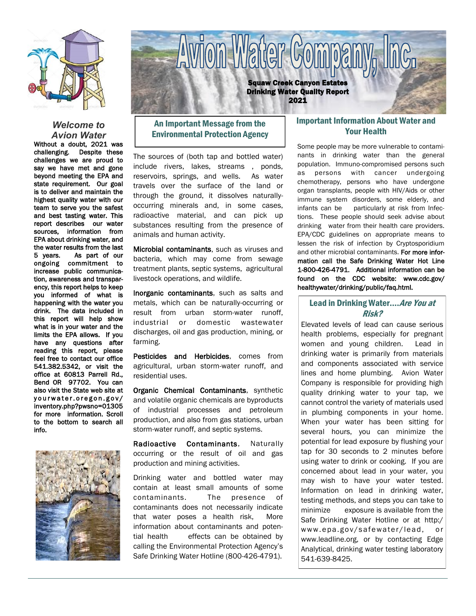

### *Welcome to Avion Water*

Without a doubt, 2021 was challenging. Despite these challenges we are proud to say we have met and gone beyond meeting the EPA and state requirement. Our goal is to deliver and maintain the highest quality water with our team to serve you the safest and best tasting water. This report describes our water sources, information from EPA about drinking water, and the water results from the last 5 years. As part of our ongoing commitment to increase public communication, awareness and transparency, this report helps to keep you informed of what is happening with the water you drink. The data included in this report will help show what is in your water and the limits the EPA allows. If you have any questions after reading this report, please feel free to contact our office 541.382.5342, or visit the office at 60813 Parrell Rd., Bend OR 97702. You can also visit the State web site at yourwater.oregon.gov/ inventory.php?pwsno=01305 for more information. Scroll to the bottom to search all info.





# An Important Message from the Environmental Protection Agency

The sources of (both tap and bottled water) include rivers, lakes, streams , ponds, reservoirs, springs, and wells. As water travels over the surface of the land or through the ground, it dissolves naturallyoccurring minerals and, in some cases, radioactive material, and can pick up substances resulting from the presence of animals and human activity.

Microbial contaminants, such as viruses and bacteria, which may come from sewage treatment plants, septic systems, agricultural livestock operations, and wildlife.

Inorganic contaminants, such as salts and metals, which can be naturally-occurring or result from urban storm-water runoff, industrial or domestic wastewater discharges, oil and gas production, mining, or farming.

Pesticides and Herbicides, comes from agricultural, urban storm-water runoff, and residential uses.

Organic Chemical Contaminants, synthetic and volatile organic chemicals are byproducts of industrial processes and petroleum production, and also from gas stations, urban storm-water runoff, and septic systems.

Radioactive Contaminants, Naturally occurring or the result of oil and gas production and mining activities.

Drinking water and bottled water may contain at least small amounts of some contaminants. The presence of contaminants does not necessarily indicate that water poses a health risk, More information about contaminants and potential health effects can be obtained by calling the Environmental Protection Agency's Safe Drinking Water Hotline (800-426-4791).

# Important Information About Water and Your Health

Some people may be more vulnerable to contaminants in drinking water than the general population. Immuno-compromised persons such as persons with cancer undergoing chemotherapy, persons who have undergone organ transplants, people with HIV/Aids or other immune system disorders, some elderly, and infants can be particularly at risk from Infections. These people should seek advise about drinking water from their health care providers. EPA/CDC guidelines on appropriate means to lessen the risk of infection by Cryptosporidium and other microbial contaminants. For more information call the Safe Drinking Water Hot Line 1-800-426-4791. Additional information can be found on the CDC website: www.cdc.gov/ healthywater/drinking/public/faq.html.

## Lead in Drinking Water.... Are You at Risk?

Elevated levels of lead can cause serious health problems, especially for pregnant women and young children. Lead in drinking water is primarily from materials and components associated with service lines and home plumbing. Avion Water Company is responsible for providing high quality drinking water to your tap, we cannot control the variety of materials used in plumbing components in your home. When your water has been sitting for several hours, you can minimize the potential for lead exposure by flushing your tap for 30 seconds to 2 minutes before using water to drink or cooking. If you are concerned about lead in your water, you may wish to have your water tested. Information on lead in drinking water, testing methods, and steps you can take to minimize exposure is available from the Safe Drinking Water Hotline or at http:/ www.epa.gov/safewater/lead, or www.leadline.org, or by contacting Edge Analytical, drinking water testing laboratory 541-639-8425.